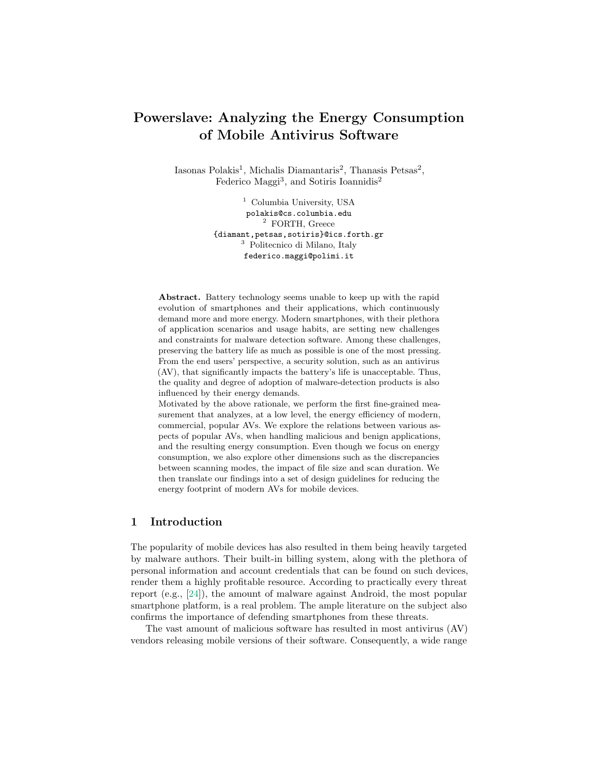# Powerslave: Analyzing the Energy Consumption of Mobile Antivirus Software

Iasonas Polakis<sup>1</sup>, Michalis Diamantaris<sup>2</sup>, Thanasis Petsas<sup>2</sup>, Federico Maggi<sup>3</sup>, and Sotiris Ioannidis<sup>2</sup>

> <sup>1</sup> Columbia University, USA polakis@cs.columbia.edu <sup>2</sup> FORTH, Greece {diamant,petsas,sotiris}@ics.forth.gr <sup>3</sup> Politecnico di Milano, Italy federico.maggi@polimi.it

Abstract. Battery technology seems unable to keep up with the rapid evolution of smartphones and their applications, which continuously demand more and more energy. Modern smartphones, with their plethora of application scenarios and usage habits, are setting new challenges and constraints for malware detection software. Among these challenges, preserving the battery life as much as possible is one of the most pressing. From the end users' perspective, a security solution, such as an antivirus (AV), that significantly impacts the battery's life is unacceptable. Thus, the quality and degree of adoption of malware-detection products is also influenced by their energy demands.

Motivated by the above rationale, we perform the first fine-grained measurement that analyzes, at a low level, the energy efficiency of modern, commercial, popular AVs. We explore the relations between various aspects of popular AVs, when handling malicious and benign applications, and the resulting energy consumption. Even though we focus on energy consumption, we also explore other dimensions such as the discrepancies between scanning modes, the impact of file size and scan duration. We then translate our findings into a set of design guidelines for reducing the energy footprint of modern AVs for mobile devices.

# 1 Introduction

The popularity of mobile devices has also resulted in them being heavily targeted by malware authors. Their built-in billing system, along with the plethora of personal information and account credentials that can be found on such devices, render them a highly profitable resource. According to practically every threat report (e.g., [\[24\]](#page-19-0)), the amount of malware against Android, the most popular smartphone platform, is a real problem. The ample literature on the subject also confirms the importance of defending smartphones from these threats.

The vast amount of malicious software has resulted in most antivirus (AV) vendors releasing mobile versions of their software. Consequently, a wide range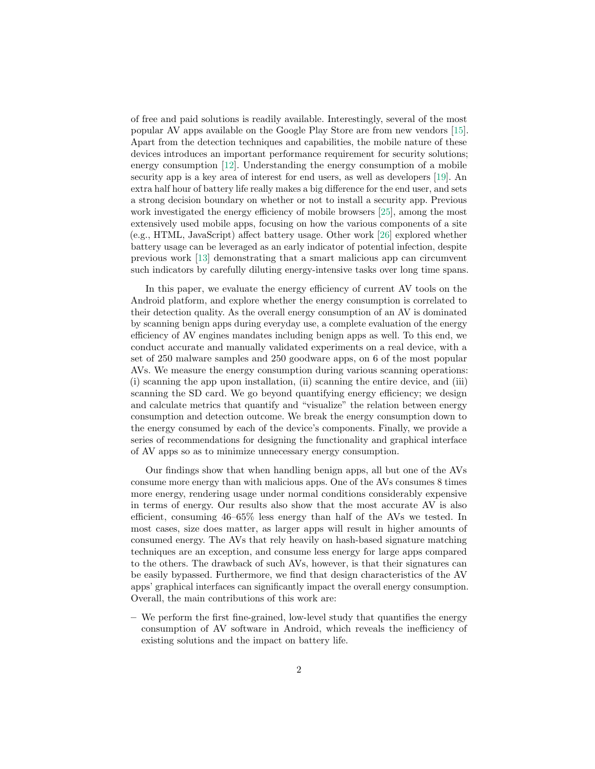of free and paid solutions is readily available. Interestingly, several of the most popular AV apps available on the Google Play Store are from new vendors [\[15\]](#page-19-1). Apart from the detection techniques and capabilities, the mobile nature of these devices introduces an important performance requirement for security solutions; energy consumption [\[12\]](#page-19-2). Understanding the energy consumption of a mobile security app is a key area of interest for end users, as well as developers [\[19\]](#page-19-3). An extra half hour of battery life really makes a big difference for the end user, and sets a strong decision boundary on whether or not to install a security app. Previous work investigated the energy efficiency of mobile browsers [\[25\]](#page-19-4), among the most extensively used mobile apps, focusing on how the various components of a site (e.g., HTML, JavaScript) affect battery usage. Other work [\[26\]](#page-19-5) explored whether battery usage can be leveraged as an early indicator of potential infection, despite previous work [\[13\]](#page-19-6) demonstrating that a smart malicious app can circumvent such indicators by carefully diluting energy-intensive tasks over long time spans.

In this paper, we evaluate the energy efficiency of current AV tools on the Android platform, and explore whether the energy consumption is correlated to their detection quality. As the overall energy consumption of an AV is dominated by scanning benign apps during everyday use, a complete evaluation of the energy efficiency of AV engines mandates including benign apps as well. To this end, we conduct accurate and manually validated experiments on a real device, with a set of 250 malware samples and 250 goodware apps, on 6 of the most popular AVs. We measure the energy consumption during various scanning operations: (i) scanning the app upon installation, (ii) scanning the entire device, and (iii) scanning the SD card. We go beyond quantifying energy efficiency; we design and calculate metrics that quantify and "visualize" the relation between energy consumption and detection outcome. We break the energy consumption down to the energy consumed by each of the device's components. Finally, we provide a series of recommendations for designing the functionality and graphical interface of AV apps so as to minimize unnecessary energy consumption.

Our findings show that when handling benign apps, all but one of the AVs consume more energy than with malicious apps. One of the AVs consumes 8 times more energy, rendering usage under normal conditions considerably expensive in terms of energy. Our results also show that the most accurate AV is also efficient, consuming 46–65% less energy than half of the AVs we tested. In most cases, size does matter, as larger apps will result in higher amounts of consumed energy. The AVs that rely heavily on hash-based signature matching techniques are an exception, and consume less energy for large apps compared to the others. The drawback of such AVs, however, is that their signatures can be easily bypassed. Furthermore, we find that design characteristics of the AV apps' graphical interfaces can significantly impact the overall energy consumption. Overall, the main contributions of this work are:

– We perform the first fine-grained, low-level study that quantifies the energy consumption of AV software in Android, which reveals the inefficiency of existing solutions and the impact on battery life.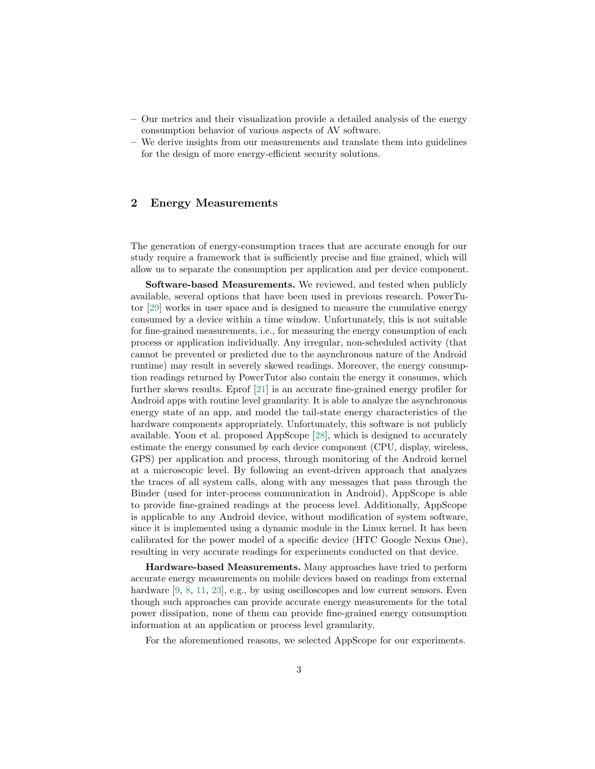- Our metrics and their visualization provide a detailed analysis of the energy consumption behavior of various aspects of AV software.
- We derive insights from our measurements and translate them into guidelines for the design of more energy-efficient security solutions.

# 2 Energy Measurements

The generation of energy-consumption traces that are accurate enough for our study require a framework that is sufficiently precise and fine grained, which will allow us to separate the consumption per application and per device component.

Software-based Measurements. We reviewed, and tested when publicly available, several options that have been used in previous research. PowerTutor [\[29\]](#page-19-7) works in user space and is designed to measure the cumulative energy consumed by a device within a time window. Unfortunately, this is not suitable for fine-grained measurements, i.e., for measuring the energy consumption of each process or application individually. Any irregular, non-scheduled activity (that cannot be prevented or predicted due to the asynchronous nature of the Android runtime) may result in severely skewed readings. Moreover, the energy consumption readings returned by PowerTutor also contain the energy it consumes, which further skews results. Eprof [\[21\]](#page-19-8) is an accurate fine-grained energy profiler for Android apps with routine level granularity. It is able to analyze the asynchronous energy state of an app, and model the tail-state energy characteristics of the hardware components appropriately. Unfortunately, this software is not publicly available. Yoon et al. proposed AppScope [\[28\]](#page-19-9), which is designed to accurately estimate the energy consumed by each device component (CPU, display, wireless, GPS) per application and process, through monitoring of the Android kernel at a microscopic level. By following an event-driven approach that analyzes the traces of all system calls, along with any messages that pass through the Binder (used for inter-process communication in Android), AppScope is able to provide fine-grained readings at the process level. Additionally, AppScope is applicable to any Android device, without modification of system software, since it is implemented using a dynamic module in the Linux kernel. It has been calibrated for the power model of a specific device (HTC Google Nexus One), resulting in very accurate readings for experiments conducted on that device.

Hardware-based Measurements. Many approaches have tried to perform accurate energy measurements on mobile devices based on readings from external hardware [\[9,](#page-19-10) [8,](#page-18-0) [11,](#page-19-11) [23\]](#page-19-12), e.g., by using oscilloscopes and low current sensors. Even though such approaches can provide accurate energy measurements for the total power dissipation, none of them can provide fine-grained energy consumption information at an application or process level granularity.

For the aforementioned reasons, we selected AppScope for our experiments.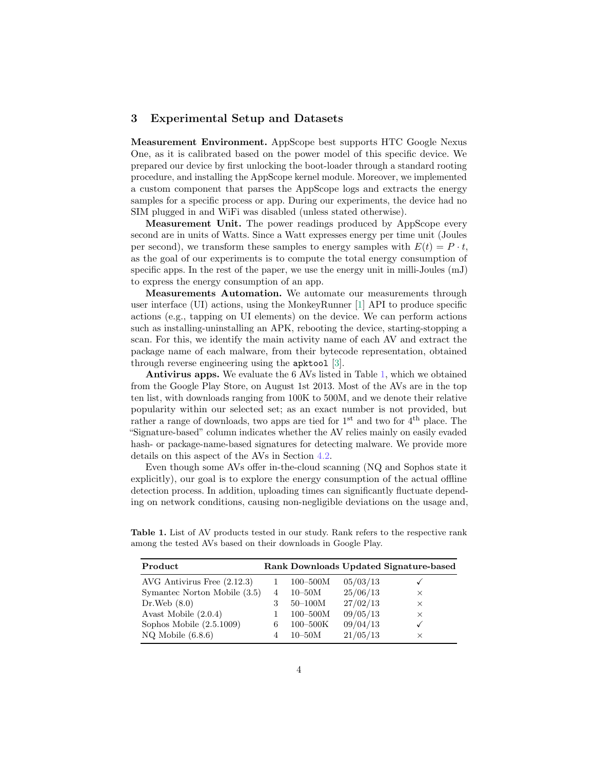## 3 Experimental Setup and Datasets

Measurement Environment. AppScope best supports HTC Google Nexus One, as it is calibrated based on the power model of this specific device. We prepared our device by first unlocking the boot-loader through a standard rooting procedure, and installing the AppScope kernel module. Moreover, we implemented a custom component that parses the AppScope logs and extracts the energy samples for a specific process or app. During our experiments, the device had no SIM plugged in and WiFi was disabled (unless stated otherwise).

Measurement Unit. The power readings produced by AppScope every second are in units of Watts. Since a Watt expresses energy per time unit (Joules per second), we transform these samples to energy samples with  $E(t) = P \cdot t$ . as the goal of our experiments is to compute the total energy consumption of specific apps. In the rest of the paper, we use the energy unit in milli-Joules (mJ) to express the energy consumption of an app.

Measurements Automation. We automate our measurements through user interface (UI) actions, using the MonkeyRunner [\[1\]](#page-18-1) API to produce specific actions (e.g., tapping on UI elements) on the device. We can perform actions such as installing-uninstalling an APK, rebooting the device, starting-stopping a scan. For this, we identify the main activity name of each AV and extract the package name of each malware, from their bytecode representation, obtained through reverse engineering using the apktool [\[3\]](#page-18-2).

Antivirus apps. We evaluate the 6 AVs listed in Table [1,](#page-3-0) which we obtained from the Google Play Store, on August 1st 2013. Most of the AVs are in the top ten list, with downloads ranging from 100K to 500M, and we denote their relative popularity within our selected set; as an exact number is not provided, but rather a range of downloads, two apps are tied for  $1<sup>st</sup>$  and two for  $4<sup>th</sup>$  place. The "Signature-based" column indicates whether the AV relies mainly on easily evaded hash- or package-name-based signatures for detecting malware. We provide more details on this aspect of the AVs in Section [4.2.](#page-5-0)

Even though some AVs offer in-the-cloud scanning (NQ and Sophos state it explicitly), our goal is to explore the energy consumption of the actual offline detection process. In addition, uploading times can significantly fluctuate depending on network conditions, causing non-negligible deviations on the usage and,

| Product                       |   |                           |          | Rank Downloads Updated Signature-based |
|-------------------------------|---|---------------------------|----------|----------------------------------------|
| AVG Antivirus Free $(2.12.3)$ |   | $100 - 500M$              | 05/03/13 |                                        |
| Symantec Norton Mobile (3.5)  |   | $10\text{--}50\mathrm{M}$ | 25/06/13 | $\times$                               |
| Dr. Web $(8.0)$               |   | $50 - 100M$               | 27/02/13 | $\times$                               |
| Avast Mobile $(2.0.4)$        |   | $100 - 500M$              | 09/05/13 | $\times$                               |
| Sophos Mobile (2.5.1009)      | 6 | $100 - 500K$              | 09/04/13 |                                        |
| $NQ$ Mobile $(6.8.6)$         |   | 10–50M                    | 21/05/13 | ×                                      |

<span id="page-3-0"></span>Table 1. List of AV products tested in our study. Rank refers to the respective rank among the tested AVs based on their downloads in Google Play.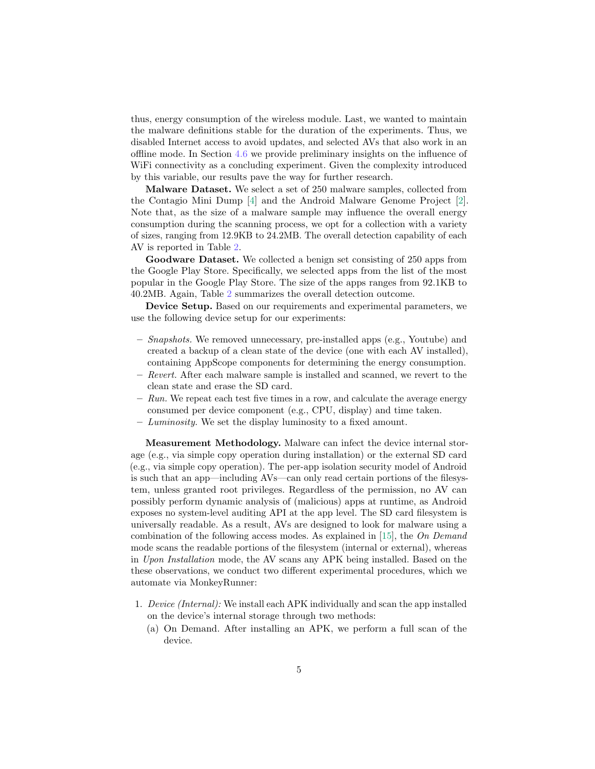thus, energy consumption of the wireless module. Last, we wanted to maintain the malware definitions stable for the duration of the experiments. Thus, we disabled Internet access to avoid updates, and selected AVs that also work in an offline mode. In Section [4.6](#page-12-0) we provide preliminary insights on the influence of WiFi connectivity as a concluding experiment. Given the complexity introduced by this variable, our results pave the way for further research.

Malware Dataset. We select a set of 250 malware samples, collected from the Contagio Mini Dump [\[4\]](#page-18-3) and the Android Malware Genome Project [\[2\]](#page-18-4). Note that, as the size of a malware sample may influence the overall energy consumption during the scanning process, we opt for a collection with a variety of sizes, ranging from 12.9KB to 24.2MB. The overall detection capability of each AV is reported in Table [2.](#page-6-0)

Goodware Dataset. We collected a benign set consisting of 250 apps from the Google Play Store. Specifically, we selected apps from the list of the most popular in the Google Play Store. The size of the apps ranges from 92.1KB to 40.2MB. Again, Table [2](#page-6-0) summarizes the overall detection outcome.

Device Setup. Based on our requirements and experimental parameters, we use the following device setup for our experiments:

- Snapshots. We removed unnecessary, pre-installed apps (e.g., Youtube) and created a backup of a clean state of the device (one with each AV installed), containing AppScope components for determining the energy consumption.
- $-$  Revert. After each malware sample is installed and scanned, we revert to the clean state and erase the SD card.
- Run. We repeat each test five times in a row, and calculate the average energy consumed per device component (e.g., CPU, display) and time taken.
- Luminosity. We set the display luminosity to a fixed amount.

Measurement Methodology. Malware can infect the device internal storage (e.g., via simple copy operation during installation) or the external SD card (e.g., via simple copy operation). The per-app isolation security model of Android is such that an app—including AVs—can only read certain portions of the filesystem, unless granted root privileges. Regardless of the permission, no AV can possibly perform dynamic analysis of (malicious) apps at runtime, as Android exposes no system-level auditing API at the app level. The SD card filesystem is universally readable. As a result, AVs are designed to look for malware using a combination of the following access modes. As explained in [\[15\]](#page-19-1), the On Demand mode scans the readable portions of the filesystem (internal or external), whereas in Upon Installation mode, the AV scans any APK being installed. Based on the these observations, we conduct two different experimental procedures, which we automate via MonkeyRunner:

- 1. Device (Internal): We install each APK individually and scan the app installed on the device's internal storage through two methods:
	- (a) On Demand. After installing an APK, we perform a full scan of the device.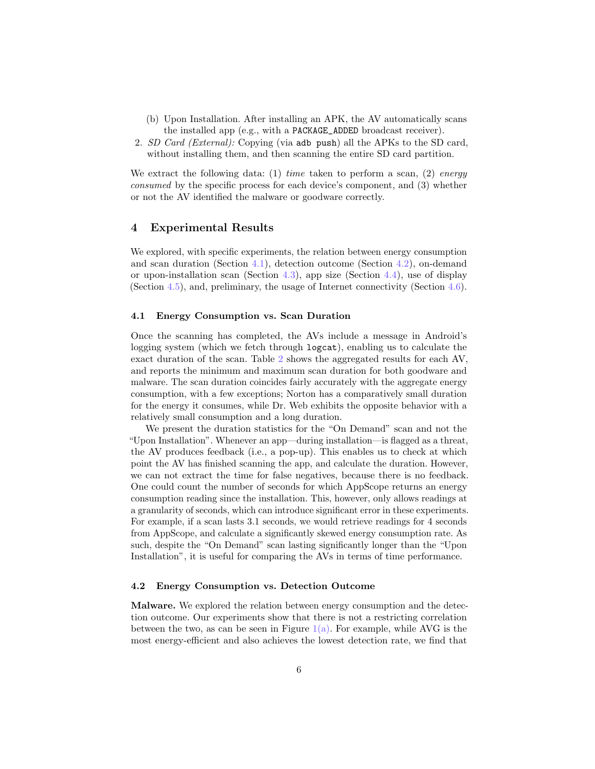- (b) Upon Installation. After installing an APK, the AV automatically scans the installed app (e.g., with a PACKAGE\_ADDED broadcast receiver).
- 2. SD Card (External): Copying (via adb push) all the APKs to the SD card, without installing them, and then scanning the entire SD card partition.

We extract the following data: (1) time taken to perform a scan, (2) energy consumed by the specific process for each device's component, and (3) whether or not the AV identified the malware or goodware correctly.

## 4 Experimental Results

We explored, with specific experiments, the relation between energy consumption and scan duration (Section [4.1\)](#page-5-1), detection outcome (Section [4.2\)](#page-5-0), on-demand or upon-installation scan (Section [4.3\)](#page-9-0), app size (Section [4.4\)](#page-9-1), use of display (Section [4.5\)](#page-11-0), and, preliminary, the usage of Internet connectivity (Section [4.6\)](#page-12-0).

## <span id="page-5-1"></span>4.1 Energy Consumption vs. Scan Duration

Once the scanning has completed, the AVs include a message in Android's logging system (which we fetch through logcat), enabling us to calculate the exact duration of the scan. Table [2](#page-6-0) shows the aggregated results for each AV, and reports the minimum and maximum scan duration for both goodware and malware. The scan duration coincides fairly accurately with the aggregate energy consumption, with a few exceptions; Norton has a comparatively small duration for the energy it consumes, while Dr. Web exhibits the opposite behavior with a relatively small consumption and a long duration.

We present the duration statistics for the "On Demand" scan and not the "Upon Installation". Whenever an app—during installation—is flagged as a threat, the AV produces feedback (i.e., a pop-up). This enables us to check at which point the AV has finished scanning the app, and calculate the duration. However, we can not extract the time for false negatives, because there is no feedback. One could count the number of seconds for which AppScope returns an energy consumption reading since the installation. This, however, only allows readings at a granularity of seconds, which can introduce significant error in these experiments. For example, if a scan lasts 3.1 seconds, we would retrieve readings for 4 seconds from AppScope, and calculate a significantly skewed energy consumption rate. As such, despite the "On Demand" scan lasting significantly longer than the "Upon Installation", it is useful for comparing the AVs in terms of time performance.

#### <span id="page-5-0"></span>4.2 Energy Consumption vs. Detection Outcome

Malware. We explored the relation between energy consumption and the detection outcome. Our experiments show that there is not a restricting correlation between the two, as can be seen in Figure  $1(a)$ . For example, while AVG is the most energy-efficient and also achieves the lowest detection rate, we find that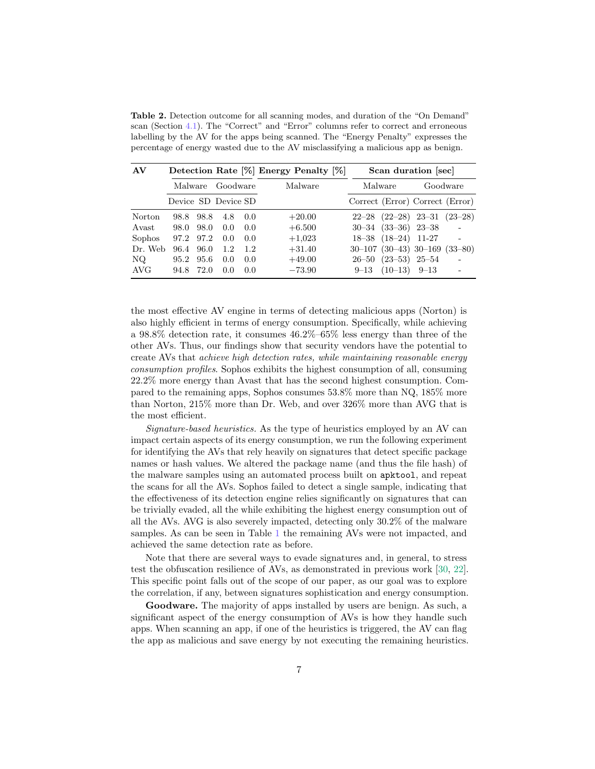<span id="page-6-0"></span>Table 2. Detection outcome for all scanning modes, and duration of the "On Demand" scan (Section [4.1\)](#page-5-1). The "Correct" and "Error" columns refer to correct and erroneous labelling by the AV for the apps being scanned. The "Energy Penalty" expresses the percentage of energy wasted due to the AV misclassifying a malicious app as benign.

| AV            |                     |      |                     |         | Detection Rate [%] Energy Penalty [%] | Scan duration [sec] |                           |                                       |           |
|---------------|---------------------|------|---------------------|---------|---------------------------------------|---------------------|---------------------------|---------------------------------------|-----------|
|               | Goodware<br>Malware |      | Malware             | Malware |                                       | Goodware            |                           |                                       |           |
|               |                     |      | Device SD Device SD |         |                                       |                     |                           | Correct (Error) Correct (Error)       |           |
| <b>Norton</b> | 98.8                | 98.8 | 4.8                 | (0.0)   | $+20.00$                              |                     | $22-28$ $(22-28)$ $23-31$ |                                       | $(23-28)$ |
| Avast         | 98.0                | 98.0 | 0.0                 | 0.0     | $+6.500$                              |                     | $30-34$ $(33-36)$ $23-38$ |                                       |           |
| Sophos        | 97.2                | 97.2 | 0.0                 | 0.0     | $+1,023$                              |                     | $18-38$ $(18-24)$ $11-27$ |                                       |           |
| Dr. Web       | 96.4                | 96.0 | 1.2.                | 1.2     | $+31.40$                              |                     |                           | $30-107$ $(30-43)$ $30-169$ $(33-80)$ |           |
| NQ.           | 95.2                | 95.6 | 0.0                 | 0.0     | $+49.00$                              | $26 - 50$           | $(23-53)$ 25-54           |                                       |           |
| AVG           | 94.8                | 72.0 | 0.0                 | 0.0     | $-73.90$                              | $9 - 13$            | $(10-13)$ 9-13            |                                       |           |

the most effective AV engine in terms of detecting malicious apps (Norton) is also highly efficient in terms of energy consumption. Specifically, while achieving a 98.8% detection rate, it consumes 46.2%–65% less energy than three of the other AVs. Thus, our findings show that security vendors have the potential to create AVs that achieve high detection rates, while maintaining reasonable energy consumption profiles. Sophos exhibits the highest consumption of all, consuming 22.2% more energy than Avast that has the second highest consumption. Compared to the remaining apps, Sophos consumes 53.8% more than NQ, 185% more than Norton, 215% more than Dr. Web, and over 326% more than AVG that is the most efficient.

Signature-based heuristics. As the type of heuristics employed by an AV can impact certain aspects of its energy consumption, we run the following experiment for identifying the AVs that rely heavily on signatures that detect specific package names or hash values. We altered the package name (and thus the file hash) of the malware samples using an automated process built on apktool, and repeat the scans for all the AVs. Sophos failed to detect a single sample, indicating that the effectiveness of its detection engine relies significantly on signatures that can be trivially evaded, all the while exhibiting the highest energy consumption out of all the AVs. AVG is also severely impacted, detecting only 30.2% of the malware samples. As can be seen in Table [1](#page-3-0) the remaining AVs were not impacted, and achieved the same detection rate as before.

Note that there are several ways to evade signatures and, in general, to stress test the obfuscation resilience of AVs, as demonstrated in previous work [\[30,](#page-19-13) [22\]](#page-19-14). This specific point falls out of the scope of our paper, as our goal was to explore the correlation, if any, between signatures sophistication and energy consumption.

Goodware. The majority of apps installed by users are benign. As such, a significant aspect of the energy consumption of AVs is how they handle such apps. When scanning an app, if one of the heuristics is triggered, the AV can flag the app as malicious and save energy by not executing the remaining heuristics.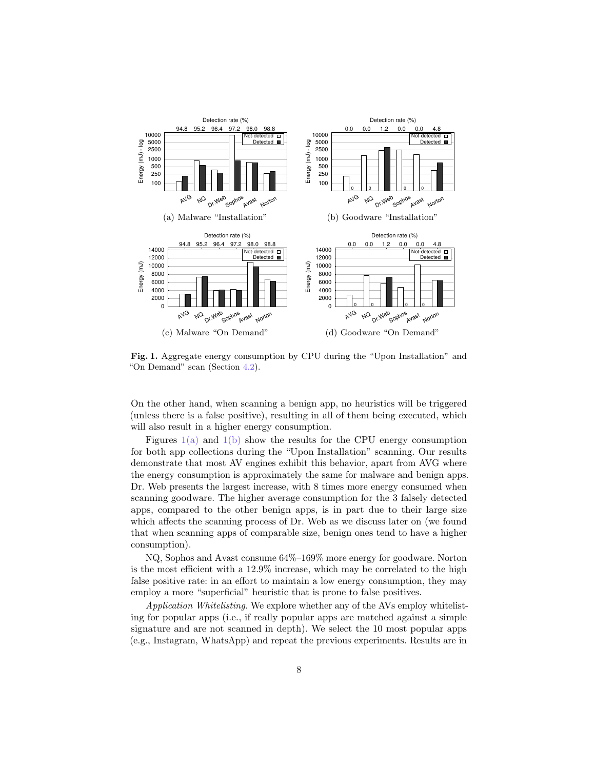<span id="page-7-1"></span><span id="page-7-0"></span>

<span id="page-7-3"></span><span id="page-7-2"></span>Fig. 1. Aggregate energy consumption by CPU during the "Upon Installation" and "On Demand" scan (Section [4.2\)](#page-5-0).

On the other hand, when scanning a benign app, no heuristics will be triggered (unless there is a false positive), resulting in all of them being executed, which will also result in a higher energy consumption.

Figures  $1(a)$  and  $1(b)$  show the results for the CPU energy consumption for both app collections during the "Upon Installation" scanning. Our results demonstrate that most AV engines exhibit this behavior, apart from AVG where the energy consumption is approximately the same for malware and benign apps. Dr. Web presents the largest increase, with 8 times more energy consumed when scanning goodware. The higher average consumption for the 3 falsely detected apps, compared to the other benign apps, is in part due to their large size which affects the scanning process of Dr. Web as we discuss later on (we found that when scanning apps of comparable size, benign ones tend to have a higher consumption).

NQ, Sophos and Avast consume 64%–169% more energy for goodware. Norton is the most efficient with a 12.9% increase, which may be correlated to the high false positive rate: in an effort to maintain a low energy consumption, they may employ a more "superficial" heuristic that is prone to false positives.

Application Whitelisting. We explore whether any of the AVs employ whitelisting for popular apps (i.e., if really popular apps are matched against a simple signature and are not scanned in depth). We select the 10 most popular apps (e.g., Instagram, WhatsApp) and repeat the previous experiments. Results are in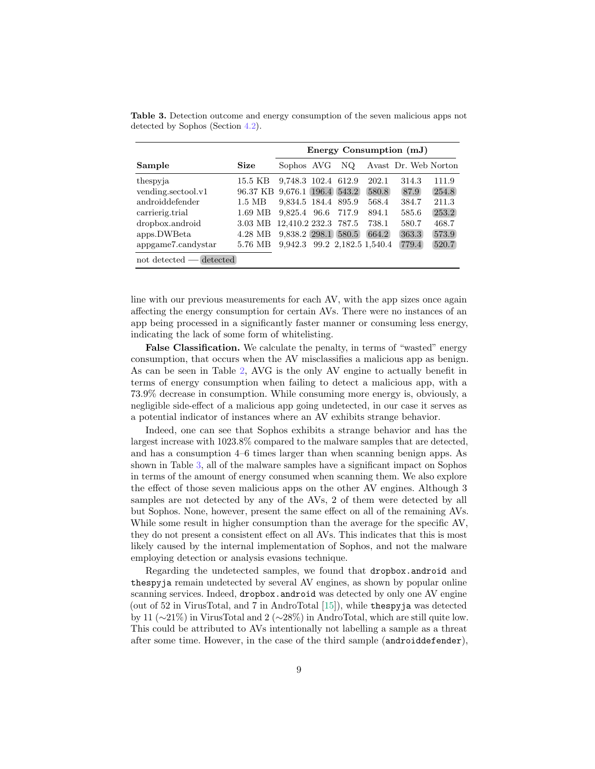|                         |                    | Energy Consumption (mJ) |  |                        |       |                      |       |
|-------------------------|--------------------|-------------------------|--|------------------------|-------|----------------------|-------|
| Sample                  | <b>Size</b>        | Sophos AVG              |  | NQ.                    |       | Avast Dr. Web Norton |       |
| thespyja                | 15.5 KB            | 9,748.3 102.4 612.9     |  |                        | 202.1 | 314.3                | 111.9 |
| vending.sectool.v1      | 96.37 KB           | 9,676.1 196.4           |  | 543.2                  | 580.8 | 87.9                 | 254.8 |
| androiddefender         | $1.5\;\mathrm{MB}$ | 9,834.5 184.4           |  | 895.9                  | 568.4 | 384.7                | 211.3 |
| carrierig.trial         | $1.69$ MB          | 9,825.4 96.6            |  | 717.9                  | 894.1 | 585.6                | 253.2 |
| dropbox.android         | 3.03 MB            | 12,410.2 232.3          |  | 787.5                  | 738.1 | 580.7                | 468.7 |
| apps.DWBeta             | 4.28 MB            | 9,838.2 298.1           |  | 580.5                  | 664.2 | 363.3                | 573.9 |
| appgame7.candystar      | 5.76 MB            | 9,942.3                 |  | 99.2 2, 182.5 1, 540.4 |       | 779.4                | 520.7 |
| not detected — detected |                    |                         |  |                        |       |                      |       |

<span id="page-8-0"></span>Table 3. Detection outcome and energy consumption of the seven malicious apps not detected by Sophos (Section [4.2\)](#page-5-0).

line with our previous measurements for each AV, with the app sizes once again affecting the energy consumption for certain AVs. There were no instances of an app being processed in a significantly faster manner or consuming less energy, indicating the lack of some form of whitelisting.

False Classification. We calculate the penalty, in terms of "wasted" energy consumption, that occurs when the AV misclassifies a malicious app as benign. As can be seen in Table [2,](#page-6-0) AVG is the only AV engine to actually benefit in terms of energy consumption when failing to detect a malicious app, with a 73.9% decrease in consumption. While consuming more energy is, obviously, a negligible side-effect of a malicious app going undetected, in our case it serves as a potential indicator of instances where an AV exhibits strange behavior.

Indeed, one can see that Sophos exhibits a strange behavior and has the largest increase with 1023.8% compared to the malware samples that are detected, and has a consumption 4–6 times larger than when scanning benign apps. As shown in Table [3,](#page-8-0) all of the malware samples have a significant impact on Sophos in terms of the amount of energy consumed when scanning them. We also explore the effect of those seven malicious apps on the other AV engines. Although 3 samples are not detected by any of the AVs, 2 of them were detected by all but Sophos. None, however, present the same effect on all of the remaining AVs. While some result in higher consumption than the average for the specific AV, they do not present a consistent effect on all AVs. This indicates that this is most likely caused by the internal implementation of Sophos, and not the malware employing detection or analysis evasions technique.

Regarding the undetected samples, we found that dropbox.android and thespyja remain undetected by several AV engines, as shown by popular online scanning services. Indeed, dropbox.android was detected by only one AV engine (out of 52 in VirusTotal, and 7 in AndroTotal [\[15\]](#page-19-1)), while thespyja was detected by 11 (∼21%) in VirusTotal and 2 (∼28%) in AndroTotal, which are still quite low. This could be attributed to AVs intentionally not labelling a sample as a threat after some time. However, in the case of the third sample (androiddefender),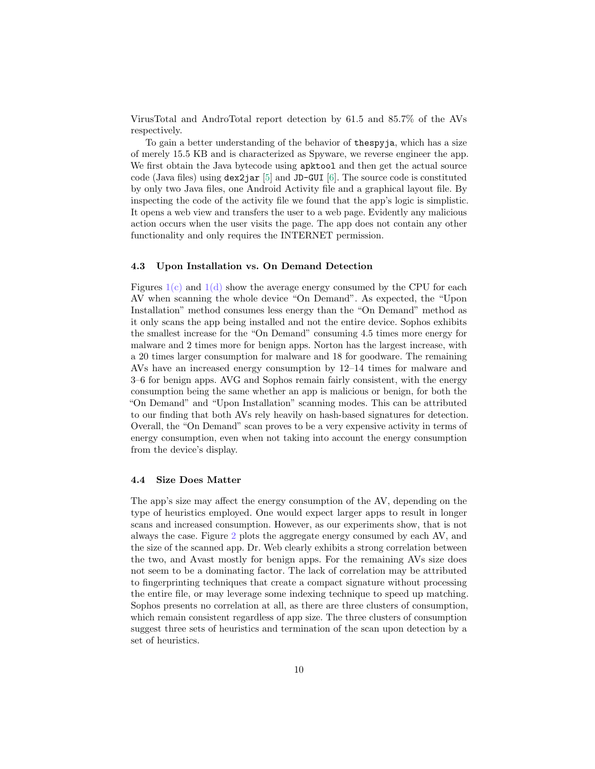VirusTotal and AndroTotal report detection by 61.5 and 85.7% of the AVs respectively.

To gain a better understanding of the behavior of thespyja, which has a size of merely 15.5 KB and is characterized as Spyware, we reverse engineer the app. We first obtain the Java bytecode using apktool and then get the actual source code (Java files) using  $\text{dex2}\text{jar}$  [\[5\]](#page-18-5) and JD-GUI [\[6\]](#page-18-6). The source code is constituted by only two Java files, one Android Activity file and a graphical layout file. By inspecting the code of the activity file we found that the app's logic is simplistic. It opens a web view and transfers the user to a web page. Evidently any malicious action occurs when the user visits the page. The app does not contain any other functionality and only requires the INTERNET permission.

#### <span id="page-9-0"></span>4.3 Upon Installation vs. On Demand Detection

Figures  $1(c)$  and  $1(d)$  show the average energy consumed by the CPU for each AV when scanning the whole device "On Demand". As expected, the "Upon Installation" method consumes less energy than the "On Demand" method as it only scans the app being installed and not the entire device. Sophos exhibits the smallest increase for the "On Demand" consuming 4.5 times more energy for malware and 2 times more for benign apps. Norton has the largest increase, with a 20 times larger consumption for malware and 18 for goodware. The remaining AVs have an increased energy consumption by 12–14 times for malware and 3–6 for benign apps. AVG and Sophos remain fairly consistent, with the energy consumption being the same whether an app is malicious or benign, for both the "On Demand" and "Upon Installation" scanning modes. This can be attributed to our finding that both AVs rely heavily on hash-based signatures for detection. Overall, the "On Demand" scan proves to be a very expensive activity in terms of energy consumption, even when not taking into account the energy consumption from the device's display.

#### <span id="page-9-1"></span>4.4 Size Does Matter

The app's size may affect the energy consumption of the AV, depending on the type of heuristics employed. One would expect larger apps to result in longer scans and increased consumption. However, as our experiments show, that is not always the case. Figure [2](#page-10-0) plots the aggregate energy consumed by each AV, and the size of the scanned app. Dr. Web clearly exhibits a strong correlation between the two, and Avast mostly for benign apps. For the remaining AVs size does not seem to be a dominating factor. The lack of correlation may be attributed to fingerprinting techniques that create a compact signature without processing the entire file, or may leverage some indexing technique to speed up matching. Sophos presents no correlation at all, as there are three clusters of consumption, which remain consistent regardless of app size. The three clusters of consumption suggest three sets of heuristics and termination of the scan upon detection by a set of heuristics.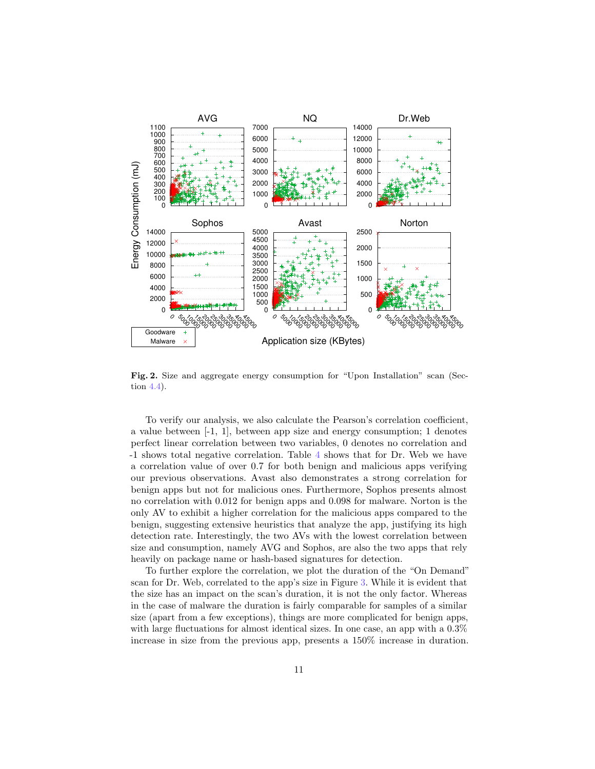

<span id="page-10-0"></span>Fig. 2. Size and aggregate energy consumption for "Upon Installation" scan (Section [4.4\)](#page-9-1).

To verify our analysis, we also calculate the Pearson's correlation coefficient, a value between [-1, 1], between app size and energy consumption; 1 denotes perfect linear correlation between two variables, 0 denotes no correlation and -1 shows total negative correlation. Table [4](#page-11-1) shows that for Dr. Web we have a correlation value of over 0.7 for both benign and malicious apps verifying our previous observations. Avast also demonstrates a strong correlation for benign apps but not for malicious ones. Furthermore, Sophos presents almost no correlation with 0.012 for benign apps and 0.098 for malware. Norton is the only AV to exhibit a higher correlation for the malicious apps compared to the benign, suggesting extensive heuristics that analyze the app, justifying its high detection rate. Interestingly, the two AVs with the lowest correlation between size and consumption, namely AVG and Sophos, are also the two apps that rely heavily on package name or hash-based signatures for detection.

To further explore the correlation, we plot the duration of the "On Demand" scan for Dr. Web, correlated to the app's size in Figure [3.](#page-11-2) While it is evident that the size has an impact on the scan's duration, it is not the only factor. Whereas in the case of malware the duration is fairly comparable for samples of a similar size (apart from a few exceptions), things are more complicated for benign apps, with large fluctuations for almost identical sizes. In one case, an app with a  $0.3\%$ increase in size from the previous app, presents a 150% increase in duration.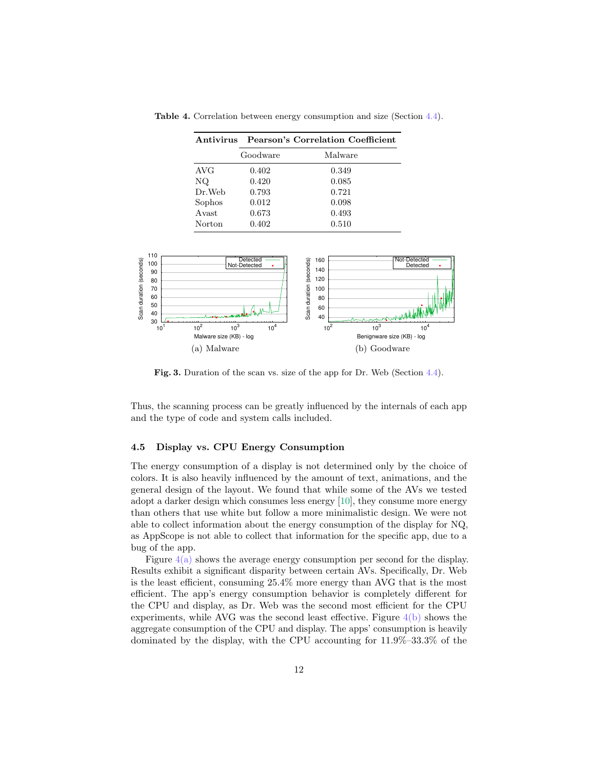| <b>Antivirus</b> | <b>Pearson's Correlation Coefficient</b> |         |  |  |  |  |  |
|------------------|------------------------------------------|---------|--|--|--|--|--|
|                  | Goodware                                 | Malware |  |  |  |  |  |
| AVG              | 0.402                                    | 0.349   |  |  |  |  |  |
| NQ.              | 0.420                                    | 0.085   |  |  |  |  |  |
| Dr.Web           | 0.793                                    | 0.721   |  |  |  |  |  |
| Sophos           | 0.012                                    | 0.098   |  |  |  |  |  |
| Avast            | 0.673                                    | 0.493   |  |  |  |  |  |
| Norton           | 0.402                                    | 0.510   |  |  |  |  |  |

<span id="page-11-1"></span>Table 4. Correlation between energy consumption and size (Section [4.4\)](#page-9-1).



<span id="page-11-2"></span>Fig. 3. Duration of the scan vs. size of the app for Dr. Web (Section [4.4\)](#page-9-1).

Thus, the scanning process can be greatly influenced by the internals of each app and the type of code and system calls included.

#### <span id="page-11-0"></span>4.5 Display vs. CPU Energy Consumption

The energy consumption of a display is not determined only by the choice of colors. It is also heavily influenced by the amount of text, animations, and the general design of the layout. We found that while some of the AVs we tested adopt a darker design which consumes less energy [\[10\]](#page-19-15), they consume more energy than others that use white but follow a more minimalistic design. We were not able to collect information about the energy consumption of the display for NQ, as AppScope is not able to collect that information for the specific app, due to a bug of the app.

Figure  $4(a)$  shows the average energy consumption per second for the display. Results exhibit a significant disparity between certain AVs. Specifically, Dr. Web is the least efficient, consuming 25.4% more energy than AVG that is the most efficient. The app's energy consumption behavior is completely different for the CPU and display, as Dr. Web was the second most efficient for the CPU experiments, while AVG was the second least effective. Figure  $4(b)$  shows the aggregate consumption of the CPU and display. The apps' consumption is heavily dominated by the display, with the CPU accounting for 11.9%–33.3% of the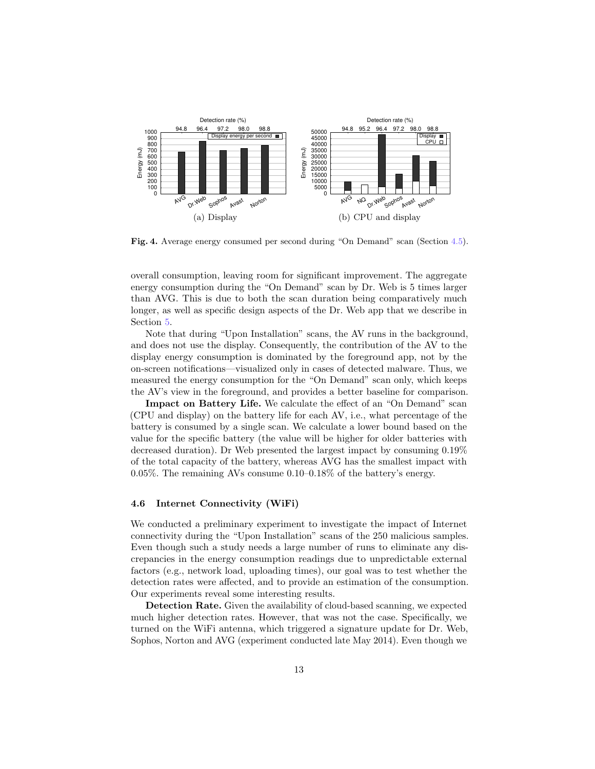<span id="page-12-1"></span>

<span id="page-12-2"></span>Fig. 4. Average energy consumed per second during "On Demand" scan (Section [4.5\)](#page-11-0).

overall consumption, leaving room for significant improvement. The aggregate energy consumption during the "On Demand" scan by Dr. Web is 5 times larger than AVG. This is due to both the scan duration being comparatively much longer, as well as specific design aspects of the Dr. Web app that we describe in Section [5.](#page-13-0)

Note that during "Upon Installation" scans, the AV runs in the background, and does not use the display. Consequently, the contribution of the AV to the display energy consumption is dominated by the foreground app, not by the on-screen notifications—visualized only in cases of detected malware. Thus, we measured the energy consumption for the "On Demand" scan only, which keeps the AV's view in the foreground, and provides a better baseline for comparison.

Impact on Battery Life. We calculate the effect of an "On Demand" scan (CPU and display) on the battery life for each AV, i.e., what percentage of the battery is consumed by a single scan. We calculate a lower bound based on the value for the specific battery (the value will be higher for older batteries with decreased duration). Dr Web presented the largest impact by consuming 0.19% of the total capacity of the battery, whereas AVG has the smallest impact with 0.05%. The remaining AVs consume 0.10–0.18% of the battery's energy.

#### <span id="page-12-0"></span>4.6 Internet Connectivity (WiFi)

We conducted a preliminary experiment to investigate the impact of Internet connectivity during the "Upon Installation" scans of the 250 malicious samples. Even though such a study needs a large number of runs to eliminate any discrepancies in the energy consumption readings due to unpredictable external factors (e.g., network load, uploading times), our goal was to test whether the detection rates were affected, and to provide an estimation of the consumption. Our experiments reveal some interesting results.

Detection Rate. Given the availability of cloud-based scanning, we expected much higher detection rates. However, that was not the case. Specifically, we turned on the WiFi antenna, which triggered a signature update for Dr. Web, Sophos, Norton and AVG (experiment conducted late May 2014). Even though we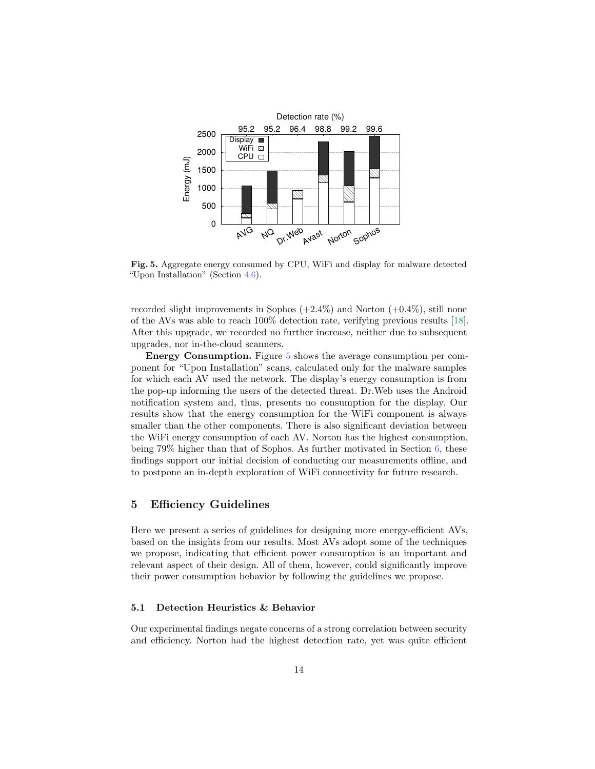<span id="page-13-1"></span>

Fig. 5. Aggregate energy consumed by CPU, WiFi and display for malware detected "Upon Installation" (Section [4.6\)](#page-12-0).

recorded slight improvements in Sophos  $(+2.4\%)$  and Norton  $(+0.4\%)$ , still none of the AVs was able to reach 100% detection rate, verifying previous results [\[18\]](#page-19-16). After this upgrade, we recorded no further increase, neither due to subsequent upgrades, nor in-the-cloud scanners.

Energy Consumption. Figure [5](#page-13-1) shows the average consumption per component for "Upon Installation" scans, calculated only for the malware samples for which each AV used the network. The display's energy consumption is from the pop-up informing the users of the detected threat. Dr.Web uses the Android notification system and, thus, presents no consumption for the display. Our results show that the energy consumption for the WiFi component is always smaller than the other components. There is also significant deviation between the WiFi energy consumption of each AV. Norton has the highest consumption, being 79% higher than that of Sophos. As further motivated in Section [6,](#page-15-0) these findings support our initial decision of conducting our measurements offline, and to postpone an in-depth exploration of WiFi connectivity for future research.

## <span id="page-13-0"></span>5 Efficiency Guidelines

Here we present a series of guidelines for designing more energy-efficient AVs, based on the insights from our results. Most AVs adopt some of the techniques we propose, indicating that efficient power consumption is an important and relevant aspect of their design. All of them, however, could significantly improve their power consumption behavior by following the guidelines we propose.

## 5.1 Detection Heuristics & Behavior

Our experimental findings negate concerns of a strong correlation between security and efficiency. Norton had the highest detection rate, yet was quite efficient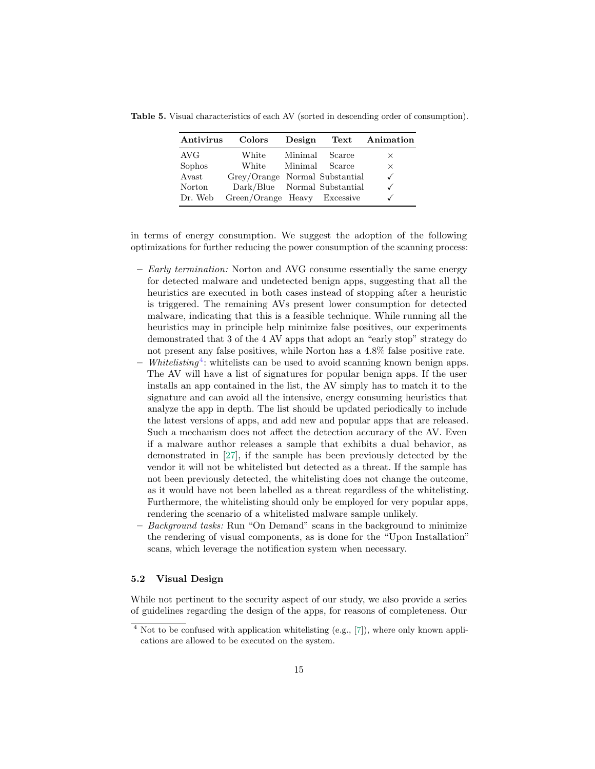<span id="page-14-1"></span>Table 5. Visual characteristics of each AV (sorted in descending order of consumption).

| Antivirus | <b>Colors</b>                  | Design  |                | Text Animation |
|-----------|--------------------------------|---------|----------------|----------------|
| AVG       | White                          | Minimal | Scarce         | $\times$       |
| Sophos    | White                          |         | Minimal Scarce | $\times$       |
| $A$ vast  | Grey/Orange Normal Substantial |         |                | √              |
| Norton    | Dark/Blue Normal Substantial   |         |                | √              |
| Dr. Web   | Green/Orange Heavy Excessive   |         |                |                |

in terms of energy consumption. We suggest the adoption of the following optimizations for further reducing the power consumption of the scanning process:

- $-$  Early termination: Norton and AVG consume essentially the same energy for detected malware and undetected benign apps, suggesting that all the heuristics are executed in both cases instead of stopping after a heuristic is triggered. The remaining AVs present lower consumption for detected malware, indicating that this is a feasible technique. While running all the heuristics may in principle help minimize false positives, our experiments demonstrated that 3 of the 4 AV apps that adopt an "early stop" strategy do not present any false positives, while Norton has a 4.8% false positive rate.
- $-$  Whitelisting<sup>[4](#page-14-0)</sup>: whitelists can be used to avoid scanning known benign apps. The AV will have a list of signatures for popular benign apps. If the user installs an app contained in the list, the AV simply has to match it to the signature and can avoid all the intensive, energy consuming heuristics that analyze the app in depth. The list should be updated periodically to include the latest versions of apps, and add new and popular apps that are released. Such a mechanism does not affect the detection accuracy of the AV. Even if a malware author releases a sample that exhibits a dual behavior, as demonstrated in [\[27\]](#page-19-17), if the sample has been previously detected by the vendor it will not be whitelisted but detected as a threat. If the sample has not been previously detected, the whitelisting does not change the outcome, as it would have not been labelled as a threat regardless of the whitelisting. Furthermore, the whitelisting should only be employed for very popular apps, rendering the scenario of a whitelisted malware sample unlikely.
- $-$  Background tasks: Run "On Demand" scans in the background to minimize the rendering of visual components, as is done for the "Upon Installation" scans, which leverage the notification system when necessary.

#### 5.2 Visual Design

While not pertinent to the security aspect of our study, we also provide a series of guidelines regarding the design of the apps, for reasons of completeness. Our

<span id="page-14-0"></span> $4$  Not to be confused with application whitelisting (e.g., [\[7\]](#page-18-7)), where only known applications are allowed to be executed on the system.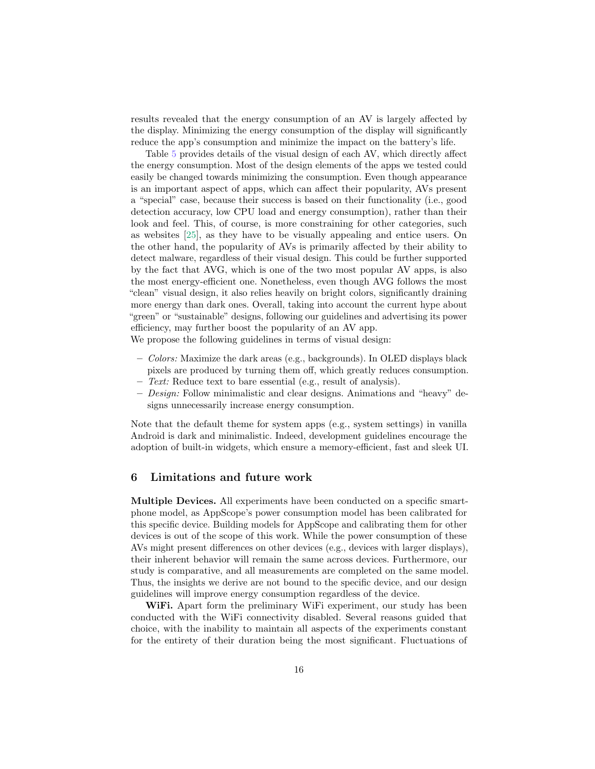results revealed that the energy consumption of an AV is largely affected by the display. Minimizing the energy consumption of the display will significantly reduce the app's consumption and minimize the impact on the battery's life.

Table [5](#page-14-1) provides details of the visual design of each AV, which directly affect the energy consumption. Most of the design elements of the apps we tested could easily be changed towards minimizing the consumption. Even though appearance is an important aspect of apps, which can affect their popularity, AVs present a "special" case, because their success is based on their functionality (i.e., good detection accuracy, low CPU load and energy consumption), rather than their look and feel. This, of course, is more constraining for other categories, such as websites [\[25\]](#page-19-4), as they have to be visually appealing and entice users. On the other hand, the popularity of AVs is primarily affected by their ability to detect malware, regardless of their visual design. This could be further supported by the fact that AVG, which is one of the two most popular AV apps, is also the most energy-efficient one. Nonetheless, even though AVG follows the most "clean" visual design, it also relies heavily on bright colors, significantly draining more energy than dark ones. Overall, taking into account the current hype about "green" or "sustainable" designs, following our guidelines and advertising its power efficiency, may further boost the popularity of an AV app.

We propose the following guidelines in terms of visual design:

- $-$  Colors: Maximize the dark areas (e.g., backgrounds). In OLED displays black pixels are produced by turning them off, which greatly reduces consumption.
- Text: Reduce text to bare essential (e.g., result of analysis).
- Design: Follow minimalistic and clear designs. Animations and "heavy" designs unnecessarily increase energy consumption.

Note that the default theme for system apps (e.g., system settings) in vanilla Android is dark and minimalistic. Indeed, development guidelines encourage the adoption of built-in widgets, which ensure a memory-efficient, fast and sleek UI.

# <span id="page-15-0"></span>6 Limitations and future work

Multiple Devices. All experiments have been conducted on a specific smartphone model, as AppScope's power consumption model has been calibrated for this specific device. Building models for AppScope and calibrating them for other devices is out of the scope of this work. While the power consumption of these AVs might present differences on other devices (e.g., devices with larger displays), their inherent behavior will remain the same across devices. Furthermore, our study is comparative, and all measurements are completed on the same model. Thus, the insights we derive are not bound to the specific device, and our design guidelines will improve energy consumption regardless of the device.

WiFi. Apart form the preliminary WiFi experiment, our study has been conducted with the WiFi connectivity disabled. Several reasons guided that choice, with the inability to maintain all aspects of the experiments constant for the entirety of their duration being the most significant. Fluctuations of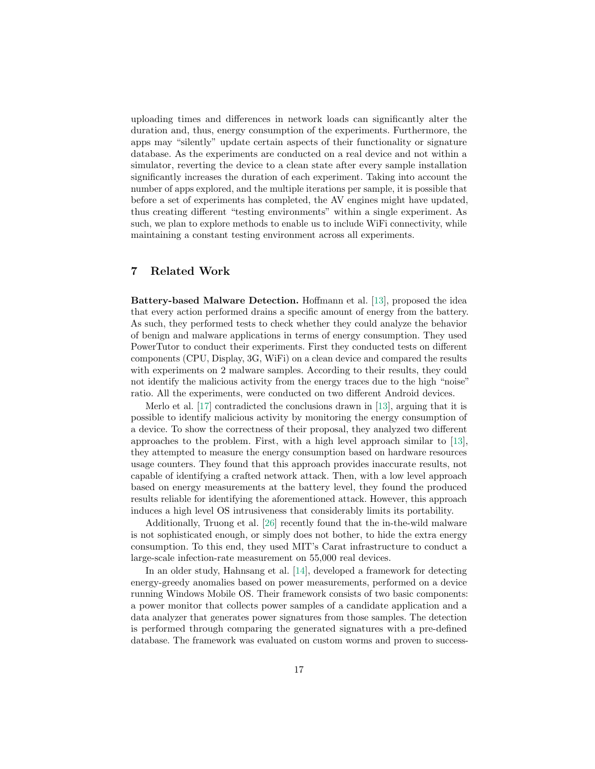uploading times and differences in network loads can significantly alter the duration and, thus, energy consumption of the experiments. Furthermore, the apps may "silently" update certain aspects of their functionality or signature database. As the experiments are conducted on a real device and not within a simulator, reverting the device to a clean state after every sample installation significantly increases the duration of each experiment. Taking into account the number of apps explored, and the multiple iterations per sample, it is possible that before a set of experiments has completed, the AV engines might have updated, thus creating different "testing environments" within a single experiment. As such, we plan to explore methods to enable us to include WiFi connectivity, while maintaining a constant testing environment across all experiments.

# 7 Related Work

Battery-based Malware Detection. Hoffmann et al. [\[13\]](#page-19-6), proposed the idea that every action performed drains a specific amount of energy from the battery. As such, they performed tests to check whether they could analyze the behavior of benign and malware applications in terms of energy consumption. They used PowerTutor to conduct their experiments. First they conducted tests on different components (CPU, Display, 3G, WiFi) on a clean device and compared the results with experiments on 2 malware samples. According to their results, they could not identify the malicious activity from the energy traces due to the high "noise" ratio. All the experiments, were conducted on two different Android devices.

Merlo et al. [\[17\]](#page-19-18) contradicted the conclusions drawn in [\[13\]](#page-19-6), arguing that it is possible to identify malicious activity by monitoring the energy consumption of a device. To show the correctness of their proposal, they analyzed two different approaches to the problem. First, with a high level approach similar to [\[13\]](#page-19-6), they attempted to measure the energy consumption based on hardware resources usage counters. They found that this approach provides inaccurate results, not capable of identifying a crafted network attack. Then, with a low level approach based on energy measurements at the battery level, they found the produced results reliable for identifying the aforementioned attack. However, this approach induces a high level OS intrusiveness that considerably limits its portability.

Additionally, Truong et al. [\[26\]](#page-19-5) recently found that the in-the-wild malware is not sophisticated enough, or simply does not bother, to hide the extra energy consumption. To this end, they used MIT's Carat infrastructure to conduct a large-scale infection-rate measurement on 55,000 real devices.

In an older study, Hahnsang et al. [\[14\]](#page-19-19), developed a framework for detecting energy-greedy anomalies based on power measurements, performed on a device running Windows Mobile OS. Their framework consists of two basic components: a power monitor that collects power samples of a candidate application and a data analyzer that generates power signatures from those samples. The detection is performed through comparing the generated signatures with a pre-defined database. The framework was evaluated on custom worms and proven to success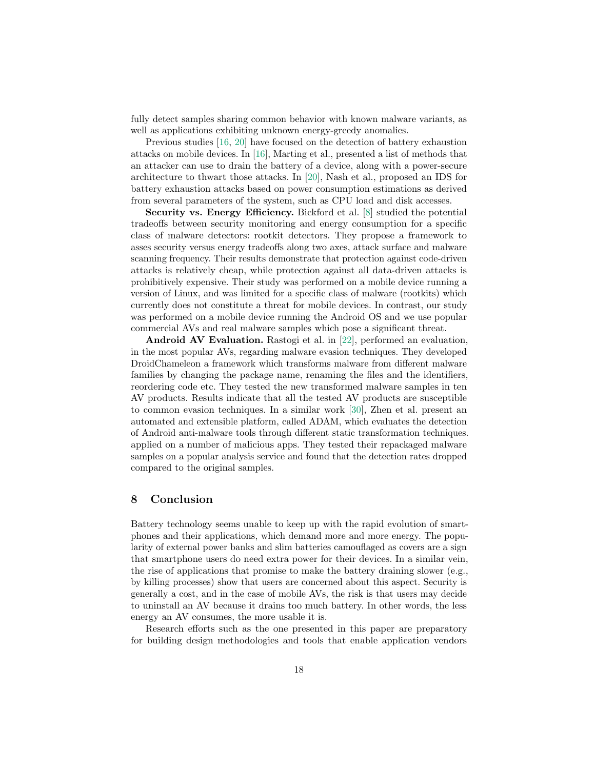fully detect samples sharing common behavior with known malware variants, as well as applications exhibiting unknown energy-greedy anomalies.

Previous studies [\[16,](#page-19-20) [20\]](#page-19-21) have focused on the detection of battery exhaustion attacks on mobile devices. In [\[16\]](#page-19-20), Marting et al., presented a list of methods that an attacker can use to drain the battery of a device, along with a power-secure architecture to thwart those attacks. In [\[20\]](#page-19-21), Nash et al., proposed an IDS for battery exhaustion attacks based on power consumption estimations as derived from several parameters of the system, such as CPU load and disk accesses.

Security vs. Energy Efficiency. Bickford et al. [\[8\]](#page-18-0) studied the potential tradeoffs between security monitoring and energy consumption for a specific class of malware detectors: rootkit detectors. They propose a framework to asses security versus energy tradeoffs along two axes, attack surface and malware scanning frequency. Their results demonstrate that protection against code-driven attacks is relatively cheap, while protection against all data-driven attacks is prohibitively expensive. Their study was performed on a mobile device running a version of Linux, and was limited for a specific class of malware (rootkits) which currently does not constitute a threat for mobile devices. In contrast, our study was performed on a mobile device running the Android OS and we use popular commercial AVs and real malware samples which pose a significant threat.

Android AV Evaluation. Rastogi et al. in [\[22\]](#page-19-14), performed an evaluation, in the most popular AVs, regarding malware evasion techniques. They developed DroidChameleon a framework which transforms malware from different malware families by changing the package name, renaming the files and the identifiers, reordering code etc. They tested the new transformed malware samples in ten AV products. Results indicate that all the tested AV products are susceptible to common evasion techniques. In a similar work [\[30\]](#page-19-13), Zhen et al. present an automated and extensible platform, called ADAM, which evaluates the detection of Android anti-malware tools through different static transformation techniques. applied on a number of malicious apps. They tested their repackaged malware samples on a popular analysis service and found that the detection rates dropped compared to the original samples.

## 8 Conclusion

Battery technology seems unable to keep up with the rapid evolution of smartphones and their applications, which demand more and more energy. The popularity of external power banks and slim batteries camouflaged as covers are a sign that smartphone users do need extra power for their devices. In a similar vein, the rise of applications that promise to make the battery draining slower (e.g., by killing processes) show that users are concerned about this aspect. Security is generally a cost, and in the case of mobile AVs, the risk is that users may decide to uninstall an AV because it drains too much battery. In other words, the less energy an AV consumes, the more usable it is.

Research efforts such as the one presented in this paper are preparatory for building design methodologies and tools that enable application vendors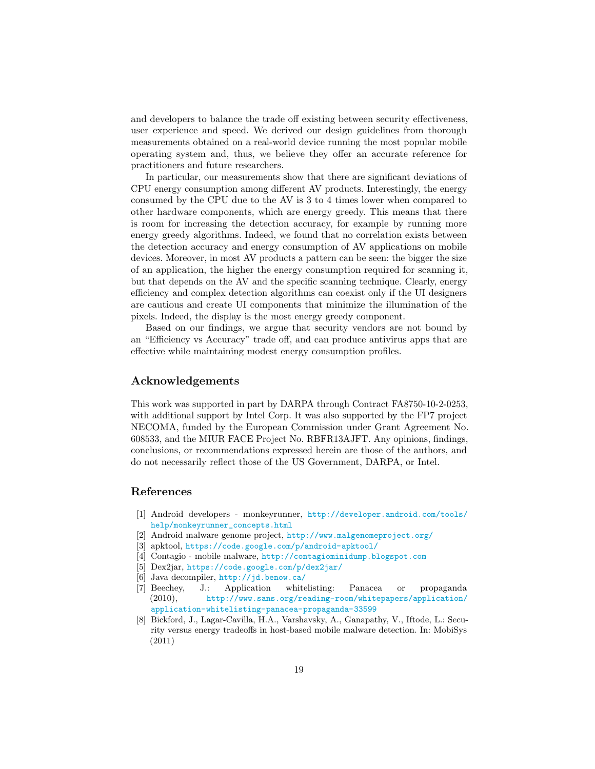and developers to balance the trade off existing between security effectiveness, user experience and speed. We derived our design guidelines from thorough measurements obtained on a real-world device running the most popular mobile operating system and, thus, we believe they offer an accurate reference for practitioners and future researchers.

In particular, our measurements show that there are significant deviations of CPU energy consumption among different AV products. Interestingly, the energy consumed by the CPU due to the AV is 3 to 4 times lower when compared to other hardware components, which are energy greedy. This means that there is room for increasing the detection accuracy, for example by running more energy greedy algorithms. Indeed, we found that no correlation exists between the detection accuracy and energy consumption of AV applications on mobile devices. Moreover, in most AV products a pattern can be seen: the bigger the size of an application, the higher the energy consumption required for scanning it, but that depends on the AV and the specific scanning technique. Clearly, energy efficiency and complex detection algorithms can coexist only if the UI designers are cautious and create UI components that minimize the illumination of the pixels. Indeed, the display is the most energy greedy component.

Based on our findings, we argue that security vendors are not bound by an "Efficiency vs Accuracy" trade off, and can produce antivirus apps that are effective while maintaining modest energy consumption profiles.

## Acknowledgements

This work was supported in part by DARPA through Contract FA8750-10-2-0253, with additional support by Intel Corp. It was also supported by the FP7 project NECOMA, funded by the European Commission under Grant Agreement No. 608533, and the MIUR FACE Project No. RBFR13AJFT. Any opinions, findings, conclusions, or recommendations expressed herein are those of the authors, and do not necessarily reflect those of the US Government, DARPA, or Intel.

## References

- <span id="page-18-1"></span>[1] Android developers - monkeyrunner, [http://developer.android.com/tools/](http://developer.android.com/tools/help/monkeyrunner_concepts.html) [help/monkeyrunner\\_concepts.html](http://developer.android.com/tools/help/monkeyrunner_concepts.html)
- <span id="page-18-4"></span>[2] Android malware genome project, <http://www.malgenomeproject.org/>
- <span id="page-18-2"></span>[3] apktool, <https://code.google.com/p/android-apktool/>
- <span id="page-18-3"></span>[4] Contagio - mobile malware, <http://contagiominidump.blogspot.com>
- <span id="page-18-5"></span>[5] Dex2jar, <https://code.google.com/p/dex2jar/>
- <span id="page-18-6"></span>[6] Java decompiler, <http://jd.benow.ca/>
- <span id="page-18-7"></span>[7] Beechey, J.: Application whitelisting: Panacea or propaganda (2010), [http://www.sans.org/reading-room/whitepapers/application/](http://www.sans.org/reading-room/whitepapers/application/application-whitelisting-panacea-propaganda-33599) [application-whitelisting-panacea-propaganda-33599](http://www.sans.org/reading-room/whitepapers/application/application-whitelisting-panacea-propaganda-33599)
- <span id="page-18-0"></span>[8] Bickford, J., Lagar-Cavilla, H.A., Varshavsky, A., Ganapathy, V., Iftode, L.: Security versus energy tradeoffs in host-based mobile malware detection. In: MobiSys (2011)